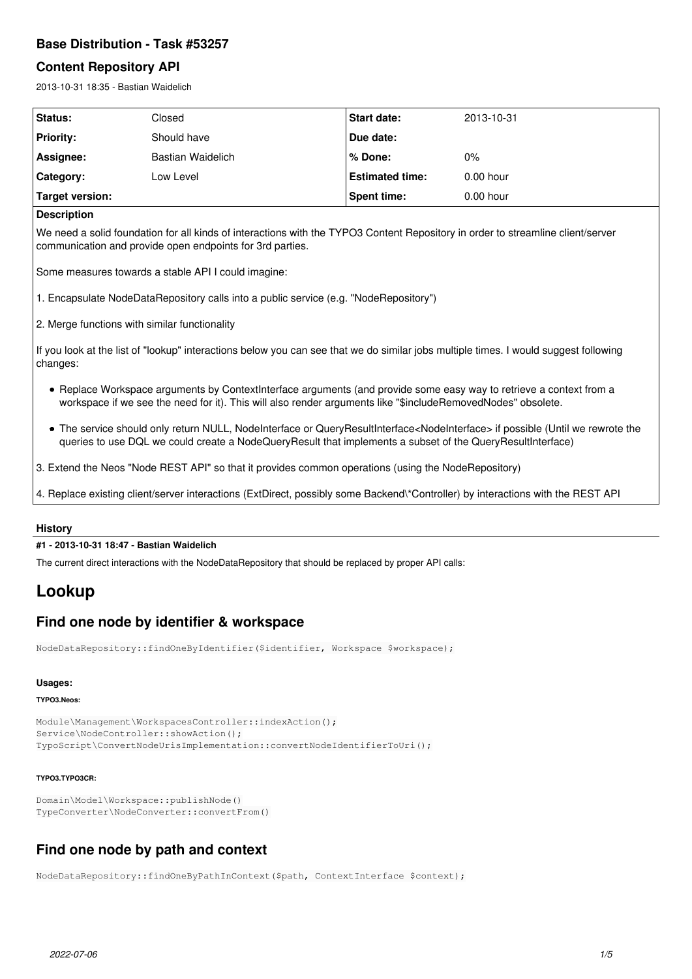# **Base Distribution - Task #53257**

### **Content Repository API**

2013-10-31 18:35 - Bastian Waidelich

| Status:                | Closed            | <b>Start date:</b>     | 2013-10-31  |
|------------------------|-------------------|------------------------|-------------|
| Priority:              | Should have       | Due date:              |             |
| Assignee:              | Bastian Waidelich | l % Done:              | $0\%$       |
| Category:              | Low Level         | <b>Estimated time:</b> | $0.00$ hour |
| <b>Target version:</b> |                   | <b>Spent time:</b>     | $0.00$ hour |

### **Description**

We need a solid foundation for all kinds of interactions with the TYPO3 Content Repository in order to streamline client/server communication and provide open endpoints for 3rd parties.

Some measures towards a stable API I could imagine:

1. Encapsulate NodeDataRepository calls into a public service (e.g. "NodeRepository")

2. Merge functions with similar functionality

If you look at the list of "lookup" interactions below you can see that we do similar jobs multiple times. I would suggest following changes:

- Replace Workspace arguments by ContextInterface arguments (and provide some easy way to retrieve a context from a workspace if we see the need for it). This will also render arguments like "\$includeRemovedNodes" obsolete.
- The service should only return NULL, NodeInterface or QueryResultInterface<NodeInterface> if possible (Until we rewrote the queries to use DQL we could create a NodeQueryResult that implements a subset of the QueryResultInterface)
- 3. Extend the Neos "Node REST API" so that it provides common operations (using the NodeRepository)
- 4. Replace existing client/server interactions (ExtDirect, possibly some Backend\\*Controller) by interactions with the REST API

### **History**

### **#1 - 2013-10-31 18:47 - Bastian Waidelich**

The current direct interactions with the NodeDataRepository that should be replaced by proper API calls:

# **Lookup**

# **Find one node by identifier & workspace**

NodeDataRepository::findOneByIdentifier(\$identifier, Workspace \$workspace);

### **Usages:**

#### **TYPO3.Neos:**

```
Module\Management\WorkspacesController::indexAction();
Service\NodeController::showAction();
TypoScript\ConvertNodeUrisImplementation::convertNodeIdentifierToUri();
```
#### **TYPO3.TYPO3CR:**

```
Domain\Model\Workspace::publishNode()
TypeConverter\NodeConverter::convertFrom()
```
# **Find one node by path and context**

NodeDataRepository::findOneByPathInContext(\$path, ContextInterface \$context);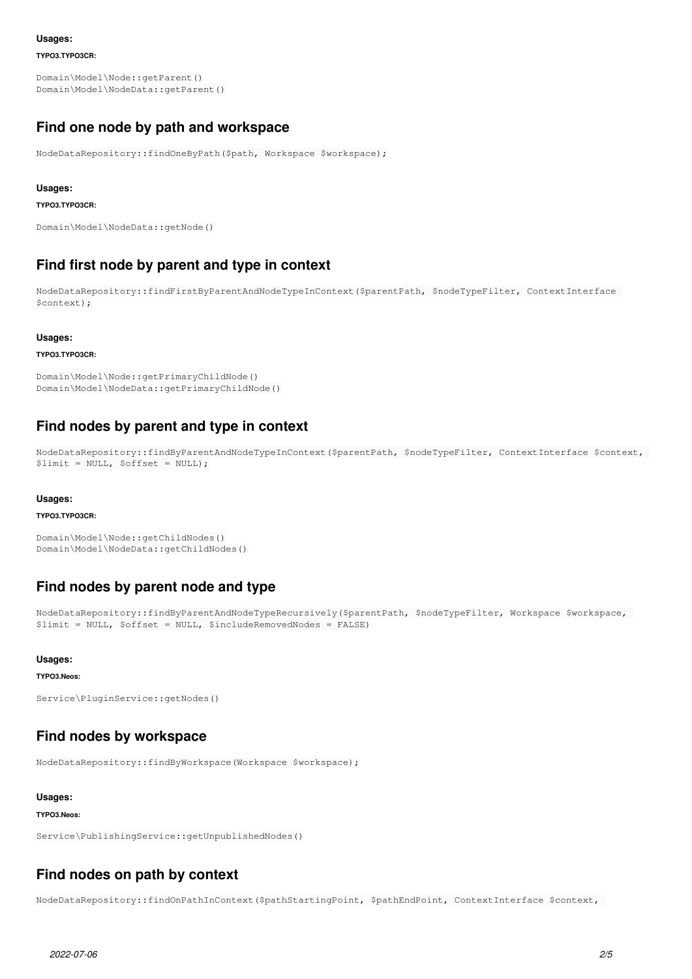#### **Usages:**

**TYPO3.TYPO3CR:**

Domain\Model\Node::getParent() Domain\Model\NodeData::getParent()

# **Find one node by path and workspace**

NodeDataRepository::findOneByPath(\$path, Workspace \$workspace);

#### **Usages:**

#### **TYPO3.TYPO3CR:**

```
Domain\Model\NodeData::getNode()
```
# **Find first node by parent and type in context**

NodeDataRepository::findFirstByParentAndNodeTypeInContext(\$parentPath, \$nodeTypeFilter, ContextInterface \$context);

#### **Usages:**

#### **TYPO3.TYPO3CR:**

```
Domain\Model\Node::getPrimaryChildNode()
Domain\Model\NodeData::getPrimaryChildNode()
```
# **Find nodes by parent and type in context**

```
NodeDataRepository::findByParentAndNodeTypeInContext($parentPath, $nodeTypeFilter, ContextInterface $context,
$limit = NULL, $offset = NULL);
```
#### **Usages:**

#### **TYPO3.TYPO3CR:**

```
Domain\Model\Node::getChildNodes()
Domain\Model\NodeData::getChildNodes()
```
# **Find nodes by parent node and type**

```
NodeDataRepository::findByParentAndNodeTypeRecursively($parentPath, $nodeTypeFilter, Workspace $workspace,
$limit = NULL, $offset = NULL, $includeRemovedNodes = FALSE)
```
### **Usages:**

#### **TYPO3.Neos:**

```
Service\PluginService::getNodes()
```
## **Find nodes by workspace**

NodeDataRepository::findByWorkspace(Workspace \$workspace);

### **Usages:**

#### **TYPO3.Neos:**

Service\PublishingService::getUnpublishedNodes()

# **Find nodes on path by context**

NodeDataRepository::findOnPathInContext(\$pathStartingPoint, \$pathEndPoint, ContextInterface \$context,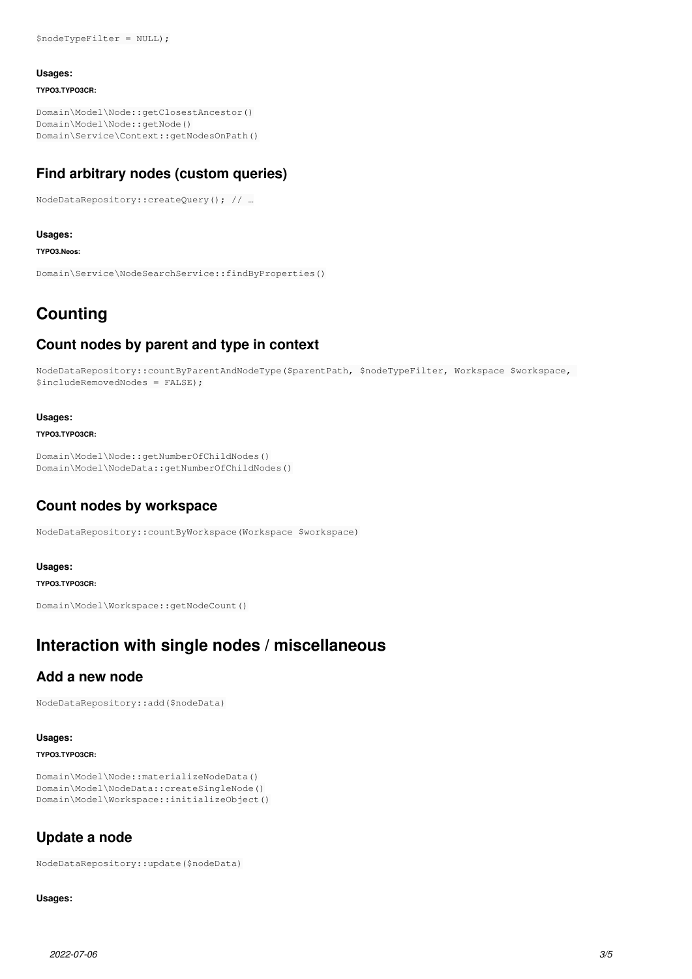#### **Usages:**

**TYPO3.TYPO3CR:**

Domain\Model\Node::getClosestAncestor() Domain\Model\Node::getNode() Domain\Service\Context::getNodesOnPath()

# **Find arbitrary nodes (custom queries)**

NodeDataRepository::createQuery(); // …

### **Usages:**

**TYPO3.Neos:**

Domain\Service\NodeSearchService::findByProperties()

# **Counting**

# **Count nodes by parent and type in context**

```
NodeDataRepository::countByParentAndNodeType($parentPath, $nodeTypeFilter, Workspace $workspace,
$includeRemovedNodes = FALSE);
```
#### **Usages:**

#### **TYPO3.TYPO3CR:**

```
Domain\Model\Node::getNumberOfChildNodes()
Domain\Model\NodeData::getNumberOfChildNodes()
```
# **Count nodes by workspace**

NodeDataRepository::countByWorkspace(Workspace \$workspace)

#### **Usages:**

### **TYPO3.TYPO3CR:**

Domain\Model\Workspace::getNodeCount()

# **Interaction with single nodes / miscellaneous**

# **Add a new node**

NodeDataRepository::add(\$nodeData)

### **Usages:**

### **TYPO3.TYPO3CR:**

```
Domain\Model\Node::materializeNodeData()
Domain\Model\NodeData::createSingleNode()
Domain\Model\Workspace::initializeObject()
```
# **Update a node**

NodeDataRepository::update(\$nodeData)

### **Usages:**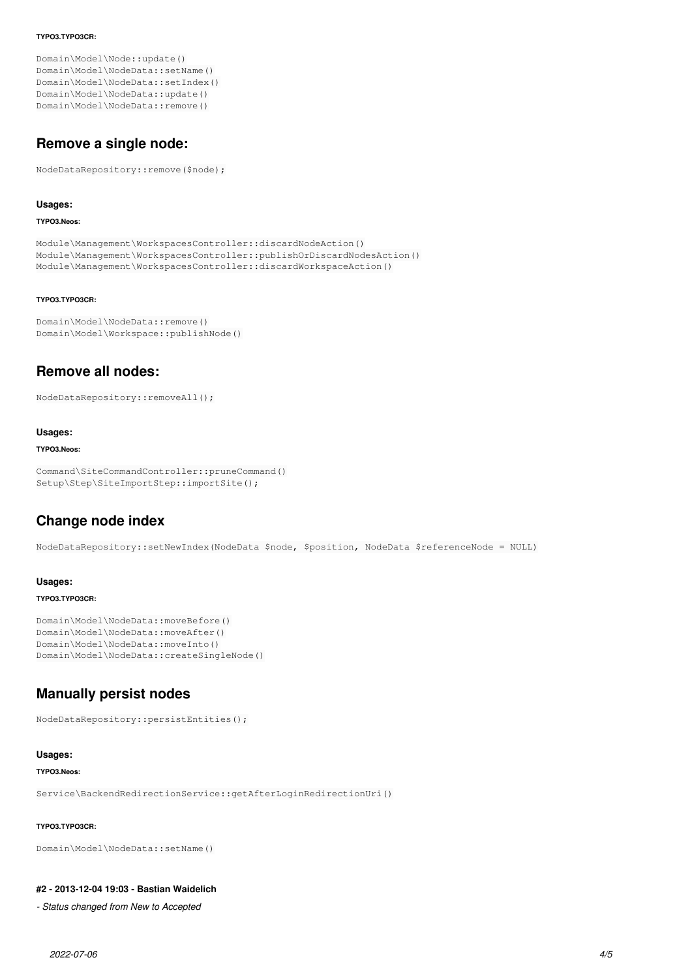#### **TYPO3.TYPO3CR:**

Domain\Model\Node::update() Domain\Model\NodeData::setName() Domain\Model\NodeData::setIndex() Domain\Model\NodeData::update() Domain\Model\NodeData::remove()

# **Remove a single node:**

NodeDataRepository::remove(\$node);

#### **Usages:**

#### **TYPO3.Neos:**

```
Module\Management\WorkspacesController::discardNodeAction()
Module\Management\WorkspacesController::publishOrDiscardNodesAction()
Module\Management\WorkspacesController::discardWorkspaceAction()
```
#### **TYPO3.TYPO3CR:**

```
Domain\Model\NodeData::remove()
Domain\Model\Workspace::publishNode()
```
# **Remove all nodes:**

NodeDataRepository::removeAll();

#### **Usages:**

#### **TYPO3.Neos:**

```
Command\SiteCommandController::pruneCommand()
Setup\Step\SiteImportStep::importSite();
```
# **Change node index**

NodeDataRepository::setNewIndex(NodeData \$node, \$position, NodeData \$referenceNode = NULL)

### **Usages:**

### **TYPO3.TYPO3CR:**

```
Domain\Model\NodeData::moveBefore()
Domain\Model\NodeData::moveAfter()
Domain\Model\NodeData::moveInto()
Domain\Model\NodeData::createSingleNode()
```
# **Manually persist nodes**

NodeDataRepository::persistEntities();

### **Usages:**

### **TYPO3.Neos:**

Service\BackendRedirectionService::getAfterLoginRedirectionUri()

### **TYPO3.TYPO3CR:**

```
Domain\Model\NodeData::setName()
```
### **#2 - 2013-12-04 19:03 - Bastian Waidelich**

*- Status changed from New to Accepted*